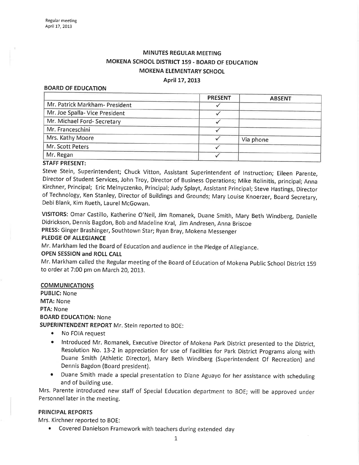# MINUTES REGULAR MEETING MOKENA SCHOOL DISTRICT 159. BOARD OF EDUCATION MOKENA ELEMENTARY SCHOOL

#### April 17, 2013

#### BOARD OF EDUCATION

|                                | <b>PRESENT</b> | <b>ABSENT</b> |
|--------------------------------|----------------|---------------|
| Mr. Patrick Markham- President |                |               |
| Mr. Joe Spalla- Vice President |                |               |
| Mr. Michael Ford- Secretary    |                |               |
| Mr. Franceschini               |                |               |
| Mrs. Kathy Moore               |                | Via phone     |
| Mr. Scott Peters               |                |               |
| Mr. Regan                      |                |               |
|                                |                |               |

#### STAFF PRESENT:

Steve Stein, Superintendent; Chuck Vitton, Assistant Superintendent of lnstruction; Eileen parente, Director of Student services, John Troy, Director of Business operations; Mike Rolinitis, principal; Anna Kirchner, Principal; Eric Melnyczenko, Principal; Judy Splayt, Assistant principal; Steve Hastings, Director of Technology, Ken Stanley, Director of Buildings and Grounds; Mary Louise Knoerzer, Board Secretary, Debi Blank, Kim Rueth, Laurel McGowan.

VISITORS: Omar Castillo, Katherine O'Neil, Jim Romanek, Duane Smíth, Mary Beth Windberg, Danielle Didrickson, Dennis Bagdon, Bob and Madeline Kral, Jim Andresen, Anna Briscoe

PRESS: Ginger Brashinger, southtown star; Ryan Bray, Mokena Messenger

#### PLEDGE OF ALLEGIANCE

Mr. Markham led the Board of Education and audience in the Pledge of Allegiance.

### OPEN SESSION and ROLL CALI

Mr. Markham called the Regular meeting of the Board of Education of Mokena Public School District <sup>159</sup> to order at 7:00 pm on March 20, 2013.

#### COMMUNICATIONS

PUBLIC: None MTA: None PTA: None BOARD EDUCATION: None SUPERINTENDENT REPORT Mr. Stein reported to BOE:

- No FOIA request
- ¡ lntroduced Mr. Romanek, Executive Director of Mokena Park District presented to the District, Resolution No. 13-2 in appreciation for use of Facilities for Park District Programs along with Duane Smith (Athletic Director), Mary Beth Windberg (Superintendent Of Recreation) and Dennis Bagdon (Board president).
- Duane Smith made a special presentation to Diane Aguayo for her assistance with scheduling and of building use.

Mrs. Parente introduced new staff of Special Education department to BOE; will be approved under Personnel later in the meeting.

# PRINCIPAL REPORTS

Mrs. Kirchner reported to BOE:

¡ Covered Danielson Framework with teachers during extended day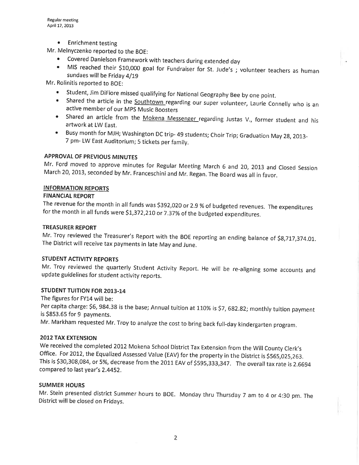• Enrichment testing

- Mr. Melnyczenko reported to the BOE:<br>• Covered Danielson Framework with teachers during extended day
	- MIS reached their \$10,000 goal for Fundraiser for St. Jude's ; volunteer teachers as human sundaes will be Friday 4/19

Mr. Rolinitis reported to BOE:

- Student, Jim DiFiore missed qualifying for National Geography Bee by one point.
- Shared the article in the **Southtown** regarding our super volunteer, Laurie Connelly who is an active member of our MPS Music Boosters
- Shared an article from the Mokena Messenger regarding Justas V., former student and his artwork at LW East.
- ' Busy month for MJH; Washington DC trip- 49 students; Choir Trip; Graduation May 2g,2oI3- 7 pm- LW East Auditorium; 5 tickets per family.

# APPROVAL OF PREVIOUS MINUTES

Mr. Ford moved to approve minutes for Regular Meeting March 6 and 20, 2013 and Closed Session March 20, 2013, seconded by Mr. Franceschini and Mr. Regan. The Board was all in favor.

# INFORMATION REPORTS

# FINANCIAL REPORT

The revenue for the month in all funds was \$392,020 or 2.9 % of budgeted revenues. The expenditures for the month in all funds were \$1,372,210 or 7.37% of the budgeted expenditures.

# TREASURER REPORT

Mr. Troy reviewed the Treasurer's Report with the BOE reporting an ending balance of \$8,717,374.01.<br>The District will receive tax payments in late May and June.

# STUDENT ACTIVITY REPORTS

Mr. Troy reviewed the quarterly Student Activity Report. He will be re-aligning some accounts and update guidelines for student activity reports.

# STUDENT TUITION FOR 2013-14

The figures for FY14 will be:

Per capita charge: \$6, 984.38 is the base; Annual tuition at 110% is \$7, 682.82; monthly tuition payment is 5853.65 for 9 payments.

Mr. Markham requested Mr. Troy to analyze the cost to bring back full-day kindergarten program.

# **2012 TAX EXTENSION**

We received the completed 2012 Mokena School District Tax Extension from the Will County Clerk's Office. For 2012, the Equalized Assessed Value (EAV) for the property in the District is \$565,025,263. This is \$30,308,084, or 5%, decrease from the 2011 EAV of \$595,333,347. The overall tax rate is 2.6694 compared to last year's 2.4452.

# SUMMER HOURS

Mr. Stein presented district Summer hours to BoE. Monday thru Thursday 7 am to 4 or 4:30 pm. The District will be closed on Fridays.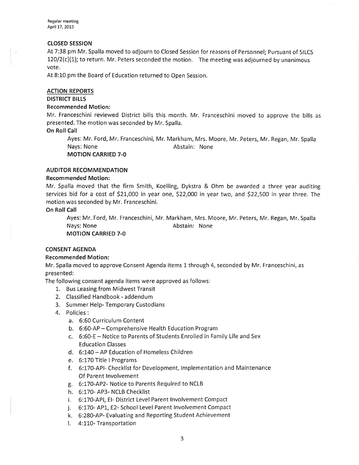#### cLosED sEsstoN

At 7:38 pm Mr. Spalla moved to adjourn to Closed Session for reasons of Personnel; Pursuant of 5ILCS  $120/2(c)(1)$ ; to return. Mr. Peters seconded the motion. The meeting was adjourned by unanimous vote.

At 8:L0 pm the Board of Education returned to Open Session.

#### ACTION REPORTS

#### DISTRICT BILLS

#### Recommended Motion:

Mr. Franceschini reviewed District bills this month. Mr. Franceschini moved to approve the bills as presented. The motion was seconded by Mr. Spalla.

### On Roll Call

Ayes: Mr. Ford, Mr. Franceschini, Mr. Markham, Mrs. Moore, Mr. Peters, Mr. Regan, Mr. Spalla Nays: None **Abstain:** None MOTION CARRIED 7-O

### AUDITOR RECOMMENDATION

### Recommended Motion:

Mr. Spalla moved that the firm Smith, Koelling, Dykstra & Ohm be awarded a three year auditing services bid for a cost of 521,000 in year one, \$22,000 in year two, and 522,500 in year three. The motion was seconded by Mr. Franceschini.

### On Roll Call

Ayes: Mr. Ford, Mr. Franceschini, Mr. Markham, Mrs. Moore, Mr. Peters, Mr. Regan, Mr. Spalla Nays: None **Abstain:** None MOTION CARRIED 7.0

# CONSENT AGENDA

# Recommended Motion:

Mr. Spalla moved to approve Consent Agenda items L through 4, seconded by Mr. Franceschini, as presented:

The following consent agenda items were approved as follows:

- 1. Bus Leasing from Midwest Transit
- 2. Classified Handbook addendum
- 3. Summer Help- Temporary Custodians
- 4. Policies :
	- a. 6:60 Curriculum Content
	- b. 6:60-AP Comprehensive Health Education Program
	- c. 6:60-E Notice to Parents of Students Enrolled in Family Life and Sex Education Classes
	- d. 6:140 AP Education of Homeless Children
	- e. 6:170 Title I Programs
	- f. 6:170-APl- Checklist for Development, lmplementation and Maintenance Of Parent lnvolvement
	- g. 6:!70-AP2- Notice to Parents Required to NCLB
	- h. 6:170- AP3- NCLB Checklist
	- i. 6:170-APl, El- District Level Parent lnvolvement Compact
	- j. 6:170- AP1, E2- School Level Parent Involvement Compact
	- k. 6:280-AP- Evaluating and Reporting Student Achievement
	- l. 4:110-Transportation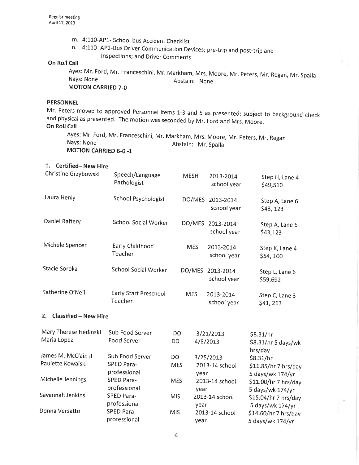- 
- m. 4:110-AP1- School bus Accident Checklist<br>n. 4:110- AP2-Bus Driver Communication Devices; pre-trip and post-trip and lnspections; and Driver Comments

# **On Roll Call**

Ayes: Mr' Ford, Mr. Franceschini, Mr. Markham, Mrs. Moore, Mr. peters, Mr. Regan, Mr. Spalla Nays: None Abstain: None MOTION CARRIED 7-O

### **PERSONNEL**

Mr. Peters moved to approved Personnel items 1-3 and 5 as presented; subject to background check and physical as presented. The motion was seconded by Mr. Ford and Mrs. Moore. On Roll Call

Ayes: Mr. Ford, Mr. Franceschini, Mr. Markham, Mrs. Moore, Mr. Peters, Mr. Regar<br>、 . . Nays: None Abstain: Mr. Spalla MOTION CARRIED 6-0 -1

# 1. Certified- New Hire

| Christine Grzybowski                     | Speech/Language<br>Pathologist                       | <b>MESH</b>              | 2013-2014<br>school year        | Step H, Lane 4<br>\$49,510                            |
|------------------------------------------|------------------------------------------------------|--------------------------|---------------------------------|-------------------------------------------------------|
| Laura Henly                              | <b>School Psychologist</b>                           |                          | DO/MES 2013-2014<br>school year | Step A, Lane 6<br>\$43,123                            |
| Daniel Raftery                           | <b>School Social Worker</b>                          | DO/MES                   | 2013-2014<br>school year        | Step A, Lane 6<br>\$43,123                            |
| Michele Spencer                          | Early Childhood<br>Teacher                           | <b>MES</b>               | 2013-2014<br>school year        | Step K, Lane 4<br>\$54,100                            |
| Stacie Soroka                            | <b>School Social Worker</b>                          | DO/MES                   | 2013-2014<br>school year        | Step L, Lane 6<br>\$59,692                            |
| Katherine O'Neil                         | Early Start Preschool<br>Teacher                     | <b>MES</b>               | 2013-2014<br>school year        | Step C, Lane 3<br>\$41,263                            |
| <b>Classified - New Hire</b><br>2.       |                                                      |                          |                                 |                                                       |
| Mary Therese Hedinski<br>Maria Lopez     | Sub Food Server<br>Food Server                       | <b>DO</b><br>DO          | 3/21/2013<br>4/8/2013           | \$8.31/hr<br>\$8.31/hr 5 days/wk<br>hrs/day           |
| James M. McClain II<br>Paulette Kowalski | Sub Food Server<br><b>SPED Para-</b><br>professional | DO<br><b>MES</b><br>year | 3/25/2013<br>2013-14 school     | \$8.31/hr<br>\$11.85/hr 7 hrs/day<br>5 days/wk 174/yr |
| Michelle Jennings                        | SPED Para-<br>professional                           | <b>MES</b><br>year       | 2013-14 school                  | \$11.00/hr 7 hrs/day<br>5 days/wk 174/yr              |
| Savannah Jenkins                         | SPED Para-<br>professional                           | <b>MIS</b><br>year       | 2013-14 school                  | \$15.04/hr 7 hrs/day<br>5 days/wk 174/yr              |
| Donna Versatto                           | SPED Para-<br>professional                           | <b>MIS</b><br>year       | 2013-14 school                  | \$14.60/hr 7 hrs/day<br>5 days/wk 174/yr              |